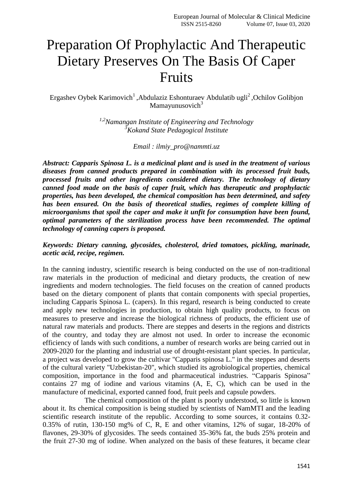# Preparation Of Prophylactic And Therapeutic Dietary Preserves On The Basis Of Caper Fruits

Ergashev Oybek Karimovich<sup>1</sup>, Abdulaziz Eshonturaev Abdulatib ugli<sup>2</sup>, Ochilov Golibjon Mamayunusovich $3$ 

> *1,2[Namangan Institute of Engineering and Technology](https://www.elibrary.ru/org_items.asp?orgsid=5427) <sup>3</sup>Kokand State Pedagogical Institute*

> > *Email : ilmiy\_pro@nammti.uz*

*Abstract: Capparis Spinosa L. is a medicinal plant and is used in the treatment of various diseases from canned products prepared in combination with its processed fruit buds, processed fruits and other ingredients considered dietary. The technology of dietary canned food made on the basis of caper fruit, which has therapeutic and prophylactic properties, has been developed, the chemical composition has been determined, and safety has been ensured. On the basis of theoretical studies, regimes of complete killing of microorganisms that spoil the caper and make it unfit for consumption have been found, optimal parameters of the sterilization process have been recommended. The optimal technology of canning capers is proposed.*

*Keywords: Dietary canning, glycosides, cholesterol, dried tomatoes, pickling, marinade, acetic acid, recipe, regimen.*

In the canning industry, scientific research is being conducted on the use of non-traditional raw materials in the production of medicinal and dietary products, the creation of new ingredients and modern technologies. The field focuses on the creation of canned products based on the dietary component of plants that contain components with special properties, including Capparis Spinosa L. (capers). In this regard, research is being conducted to create and apply new technologies in production, to obtain high quality products, to focus on measures to preserve and increase the biological richness of products, the efficient use of natural raw materials and products. There are steppes and deserts in the regions and districts of the country, and today they are almost not used. In order to increase the economic efficiency of lands with such conditions, a number of research works are being carried out in 2009-2020 for the planting and industrial use of drought-resistant plant species. In particular, a project was developed to grow the cultivar "Capparis spinosa L." in the steppes and deserts of the cultural variety "Uzbekistan-20", which studied its agrobiological properties, chemical composition, importance in the food and pharmaceutical industries. "Capparis Spinosa" contains 27 mg of iodine and various vitamins (A, E, C), which can be used in the manufacture of medicinal, exported canned food, fruit peels and capsule powders.

The chemical composition of the plant is poorly understood, so little is known about it. Its chemical composition is being studied by scientists of NamMTI and the leading scientific research institute of the republic. According to some sources, it contains 0.32- 0.35% of rutin, 130-150 mg% of C, R, E and other vitamins, 12% of sugar, 18-20% of flavones, 29-30% of glycosides. The seeds contained 35-36% fat, the buds 25% protein and the fruit 27-30 mg of iodine. When analyzed on the basis of these features, it became clear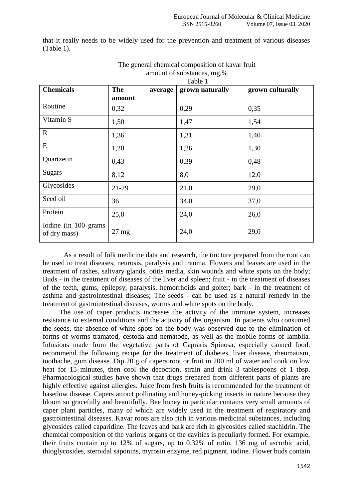that it really needs to be widely used for the prevention and treatment of various diseases (Table 1).

| <b>Chemicals</b>                      | <b>The</b><br>average | grown naturally | grown culturally |
|---------------------------------------|-----------------------|-----------------|------------------|
|                                       | amount                |                 |                  |
| Routine                               | 0,32                  | 0,29            | 0,35             |
| Vitamin S                             | 1,50                  | 1,47            | 1,54             |
| $\mathbf R$                           | 1,36                  | 1,31            | 1,40             |
| E                                     | 1,28                  | 1,26            | 1,30             |
| Quartzetin                            | 0,43                  | 0,39            | 0,48             |
| <b>Sugars</b>                         | 8,12                  | 8,0             | 12,0             |
| Glycosides                            | 21-29                 | 21,0            | 29,0             |
| Seed oil                              | 36                    | 34,0            | 37,0             |
| Protein                               | 25,0                  | 24,0            | 26,0             |
| Iodine (in 100 grams)<br>of dry mass) | $27 \text{ mg}$       | 24,0            | 29,0             |

#### The general chemical composition of kavar fruit amount of substances, mg,% Table 1

As a result of folk medicine data and research, the tincture prepared from the root can be used to treat diseases, neurosis, paralysis and trauma. Flowers and leaves are used in the treatment of rashes, salivary glands, otitis media, skin wounds and white spots on the body; Buds - in the treatment of diseases of the liver and spleen; fruit - in the treatment of diseases of the teeth, gums, epilepsy, paralysis, hemorrhoids and goiter; bark - in the treatment of asthma and gastrointestinal diseases; The seeds - can be used as a natural remedy in the treatment of gastrointestinal diseases, worms and white spots on the body.

The use of caper products increases the activity of the immune system, increases resistance to external conditions and the activity of the organism. In patients who consumed the seeds, the absence of white spots on the body was observed due to the elimination of forms of worms tramatod, cestoda and nematode, as well as the mobile forms of lamblia. Infusions made from the vegetative parts of Capraris Spinosa, especially canned food, recommend the following recipe for the treatment of diabetes, liver disease, rheumatism, toothache, gum disease. Dip 20 g of capers root or fruit in 200 ml of water and cook on low heat for 15 minutes, then cool the decoction, strain and drink 3 tablespoons of 1 tbsp. Pharmacological studies have shown that drugs prepared from different parts of plants are highly effective against allergies. Juice from fresh fruits is recommended for the treatment of basedow disease. Capers attract pollinating and honey-picking insects in nature because they bloom so gracefully and beautifully. Bee honey in particular contains very small amounts of caper plant particles, many of which are widely used in the treatment of respiratory and gastrointestinal diseases. Kavar roots are also rich in various medicinal substances, including glycosides called caparidine. The leaves and bark are rich in glycosides called stachidrin. The chemical composition of the various organs of the cavities is peculiarly formed. For example, their fruits contain up to 12% of sugars, up to 0.32% of rutin, 136 mg of ascorbic acid, thioglycosides, steroidal saponins, myrosin enzyme, red pigment, iodine. Flower buds contain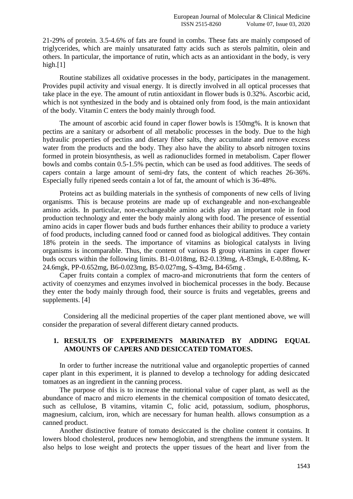21-29% of protein. 3.5-4.6% of fats are found in combs. These fats are mainly composed of triglycerides, which are mainly unsaturated fatty acids such as sterols palmitin, olein and others. In particular, the importance of rutin, which acts as an antioxidant in the body, is very high. $[1]$ 

Routine stabilizes all oxidative processes in the body, participates in the management. Provides pupil activity and visual energy. It is directly involved in all optical processes that take place in the eye. The amount of rutin antioxidant in flower buds is 0.32%. Ascorbic acid, which is not synthesized in the body and is obtained only from food, is the main antioxidant of the body. Vitamin C enters the body mainly through food.

The amount of ascorbic acid found in caper flower bowls is 150mg%. It is known that pectins are a sanitary or adsorbent of all metabolic processes in the body. Due to the high hydraulic properties of pectins and dietary fiber salts, they accumulate and remove excess water from the products and the body. They also have the ability to absorb nitrogen toxins formed in protein biosynthesis, as well as radionuclides formed in metabolism. Caper flower bowls and combs contain 0.5-1.5% pectin, which can be used as food additives. The seeds of capers contain a large amount of semi-dry fats, the content of which reaches 26-36%. Especially fully ripened seeds contain a lot of fat, the amount of which is 36-48%.

Proteins act as building materials in the synthesis of components of new cells of living organisms. This is because proteins are made up of exchangeable and non-exchangeable amino acids. In particular, non-exchangeable amino acids play an important role in food production technology and enter the body mainly along with food. The presence of essential amino acids in caper flower buds and buds further enhances their ability to produce a variety of food products, including canned food or canned food as biological additives. They contain 18% protein in the seeds. The importance of vitamins as biological catalysts in living organisms is incomparable. Thus, the content of various B group vitamins in caper flower buds occurs within the following limits. B1-0.018mg, B2-0.139mg, A-83mgk, E-0.88mg, K-24.6mgk, PP-0.652mg, B6-0.023mg, B5-0.027mg, S-43mg, B4-65mg .

Caper fruits contain a complex of macro-and micronutrients that form the centers of activity of coenzymes and enzymes involved in biochemical processes in the body. Because they enter the body mainly through food, their source is fruits and vegetables, greens and supplements. [4]

Considering all the medicinal properties of the caper plant mentioned above, we will consider the preparation of several different dietary canned products.

## **1. RESULTS OF EXPERIMENTS MARINATED BY ADDING EQUAL AMOUNTS OF CAPERS AND DESICCATED TOMATOES.**

In order to further increase the nutritional value and organoleptic properties of canned caper plant in this experiment, it is planned to develop a technology for adding desiccated tomatoes as an ingredient in the canning process.

The purpose of this is to increase the nutritional value of caper plant, as well as the abundance of macro and micro elements in the chemical composition of tomato desiccated, such as cellulose, B vitamins, vitamin C, folic acid, potassium, sodium, phosphorus, magnesium, calcium, iron, which are necessary for human health. allows consumption as a canned product.

Another distinctive feature of tomato desiccated is the choline content it contains. It lowers blood cholesterol, produces new hemoglobin, and strengthens the immune system. It also helps to lose weight and protects the upper tissues of the heart and liver from the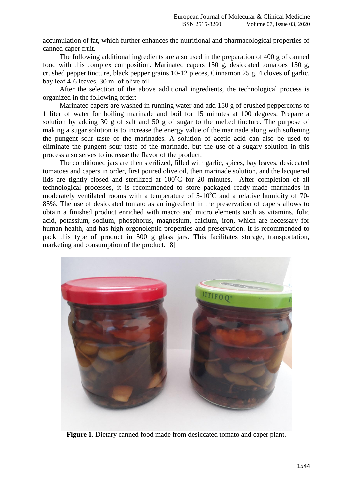accumulation of fat, which further enhances the nutritional and pharmacological properties of canned caper fruit.

The following additional ingredients are also used in the preparation of 400 g of canned food with this complex composition. Marinated capers 150 g, desiccated tomatoes 150 g, crushed pepper tincture, black pepper grains 10-12 pieces, Cinnamon 25 g, 4 cloves of garlic, bay leaf 4-6 leaves, 30 ml of olive oil.

After the selection of the above additional ingredients, the technological process is organized in the following order:

Marinated capers are washed in running water and add 150 g of crushed peppercorns to 1 liter of water for boiling marinade and boil for 15 minutes at 100 degrees. Prepare a solution by adding 30 g of salt and 50 g of sugar to the melted tincture. The purpose of making a sugar solution is to increase the energy value of the marinade along with softening the pungent sour taste of the marinades. A solution of acetic acid can also be used to eliminate the pungent sour taste of the marinade, but the use of a sugary solution in this process also serves to increase the flavor of the product.

The conditioned jars are then sterilized, filled with garlic, spices, bay leaves, desiccated tomatoes and capers in order, first poured olive oil, then marinade solution, and the lacquered lids are tightly closed and sterilized at  $100^{\circ}$ C for 20 minutes. After completion of all technological processes, it is recommended to store packaged ready-made marinades in moderately ventilated rooms with a temperature of  $5{\text -}10^{\circ}\text{C}$  and a relative humidity of 70-85%. The use of desiccated tomato as an ingredient in the preservation of capers allows to obtain a finished product enriched with macro and micro elements such as vitamins, folic acid, potassium, sodium, phosphorus, magnesium, calcium, iron, which are necessary for human health, and has high orgonoleptic properties and preservation. It is recommended to pack this type of product in 500 g glass jars. This facilitates storage, transportation, marketing and consumption of the product. [8]



**Figure 1**. Dietary canned food made from desiccated tomato and caper plant.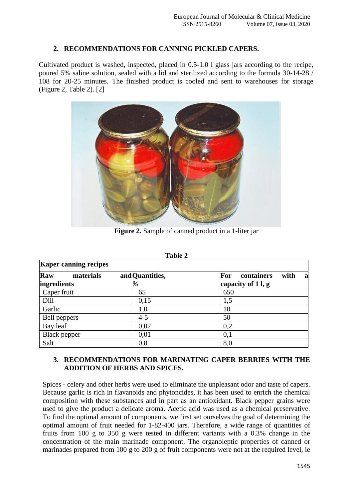# **2. RECOMMENDATIONS FOR CANNING PICKLED CAPERS.**

Cultivated product is washed, inspected, placed in 0.5-1.0 l glass jars according to the recipe, poured 5% saline solution, sealed with a lid and sterilized according to the formula 30-14-28 / 108 for 20-25 minutes. The finished product is cooled and sent to warehouses for storage (Figure 2, Table 2). [2]



**Figure 2.** Sample of canned product in a 1-liter jar

| Table 2<br><b>Kaper canning recipes</b> |         |                         |  |  |
|-----------------------------------------|---------|-------------------------|--|--|
|                                         |         |                         |  |  |
| ingredients                             | %       | capacity of $1 \,$ l, g |  |  |
| Caper fruit                             | 65      | 650                     |  |  |
| Dill                                    | 0,15    | 1,5                     |  |  |
| Garlic                                  | 1,0     | 10                      |  |  |
| Bell peppers                            | $4 - 5$ | 50                      |  |  |
| Bay leaf                                | 0,02    | 0,2                     |  |  |
| <b>Black pepper</b>                     | 0,01    | 0,1                     |  |  |
| Salt                                    | 0,8     | 8,0                     |  |  |

| ını<br>ı<br>и |  |
|---------------|--|
|---------------|--|

# **3. RECOMMENDATIONS FOR MARINATING CAPER BERRIES WITH THE ADDITION OF HERBS AND SPICES.**

Spices - celery and other herbs were used to eliminate the unpleasant odor and taste of capers. Because garlic is rich in flavanoids and phytoncides, it has been used to enrich the chemical composition with these substances and in part as an antioxidant. Black pepper grains were used to give the product a delicate aroma. Acetic acid was used as a chemical preservative. To find the optimal amount of components, we first set ourselves the goal of determining the optimal amount of fruit needed for 1-82-400 jars. Therefore, a wide range of quantities of fruits from 100 g to 350 g were tested in different variants with a 0.3% change in the concentration of the main marinade component. The organoleptic properties of canned or marinades prepared from 100 g to 200 g of fruit components were not at the required level, ie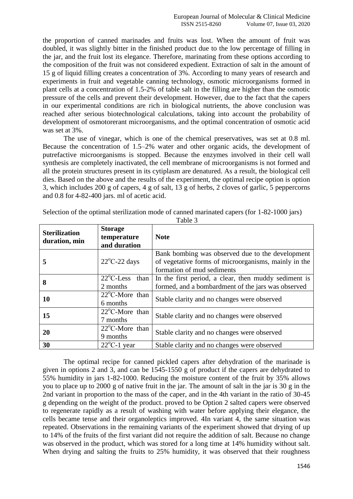the proportion of canned marinades and fruits was lost. When the amount of fruit was doubled, it was slightly bitter in the finished product due to the low percentage of filling in the jar, and the fruit lost its elegance. Therefore, marinating from these options according to the composition of the fruit was not considered expedient. Extraction of salt in the amount of 15 g of liquid filling creates a concentration of 3%. According to many years of research and experiments in fruit and vegetable canning technology, osmotic microorganisms formed in plant cells at a concentration of 1.5-2% of table salt in the filling are higher than the osmotic pressure of the cells and prevent their development. However, due to the fact that the capers in our experimental conditions are rich in biological nutrients, the above conclusion was reached after serious biotechnological calculations, taking into account the probability of development of osmotorerant microorganisms, and the optimal concentration of osmotic acid was set at 3%.

The use of vinegar, which is one of the chemical preservatives, was set at 0.8 ml. Because the concentration of 1.5–2% water and other organic acids, the development of putrefactive microorganisms is stopped. Because the enzymes involved in their cell wall synthesis are completely inactivated, the cell membrane of microorganisms is not formed and all the protein structures present in its cytiplasm are denatured. As a result, the biological cell dies. Based on the above and the results of the experiment, the optimal recipe option is option 3, which includes 200 g of capers, 4 g of salt, 13 g of herbs, 2 cloves of garlic, 5 peppercorns and 0.8 for 4-82-400 jars. ml of acetic acid.

| <b>Sterilization</b><br>duration, min | <b>Storage</b><br>temperature<br>and duration | <b>Note</b>                                                                                                                            |
|---------------------------------------|-----------------------------------------------|----------------------------------------------------------------------------------------------------------------------------------------|
| 5                                     | $22^{\circ}$ C-22 days                        | Bank bombing was observed due to the development<br>of vegetative forms of microorganisms, mainly in the<br>formation of mud sediments |
| 8                                     | $22^{\circ}$ C-Less<br>than<br>2 months       | In the first period, a clear, then muddy sediment is<br>formed, and a bombardment of the jars was observed                             |
| 10                                    | $22^{\circ}$ C-More than<br>6 months          | Stable clarity and no changes were observed                                                                                            |
| 15                                    | $22^{\circ}$ C-More than<br>7 months          | Stable clarity and no changes were observed                                                                                            |
| 20                                    | $22^{\circ}$ C-More than<br>9 months          | Stable clarity and no changes were observed                                                                                            |
| 30                                    | $22^{\circ}$ C-1 year                         | Stable clarity and no changes were observed                                                                                            |

Selection of the optimal sterilization mode of canned marinated capers (for 1-82-1000 jars)

The optimal recipe for canned pickled capers after dehydration of the marinade is given in options 2 and 3, and can be 1545-1550 g of product if the capers are dehydrated to 55% humidity in jars 1-82-1000. Reducing the moisture content of the fruit by 35% allows you to place up to 2000 g of native fruit in the jar. The amount of salt in the jar is 30 g in the 2nd variant in proportion to the mass of the caper, and in the 4th variant in the ratio of 30-45 g depending on the weight of the product. proved to be Option 2 salted capers were observed to regenerate rapidly as a result of washing with water before applying their elegance, the cells became tense and their organoleptics improved. 4In variant 4, the same situation was repeated. Observations in the remaining variants of the experiment showed that drying of up to 14% of the fruits of the first variant did not require the addition of salt. Because no change was observed in the product, which was stored for a long time at 14% humidity without salt. When drying and salting the fruits to 25% humidity, it was observed that their roughness

Table 3